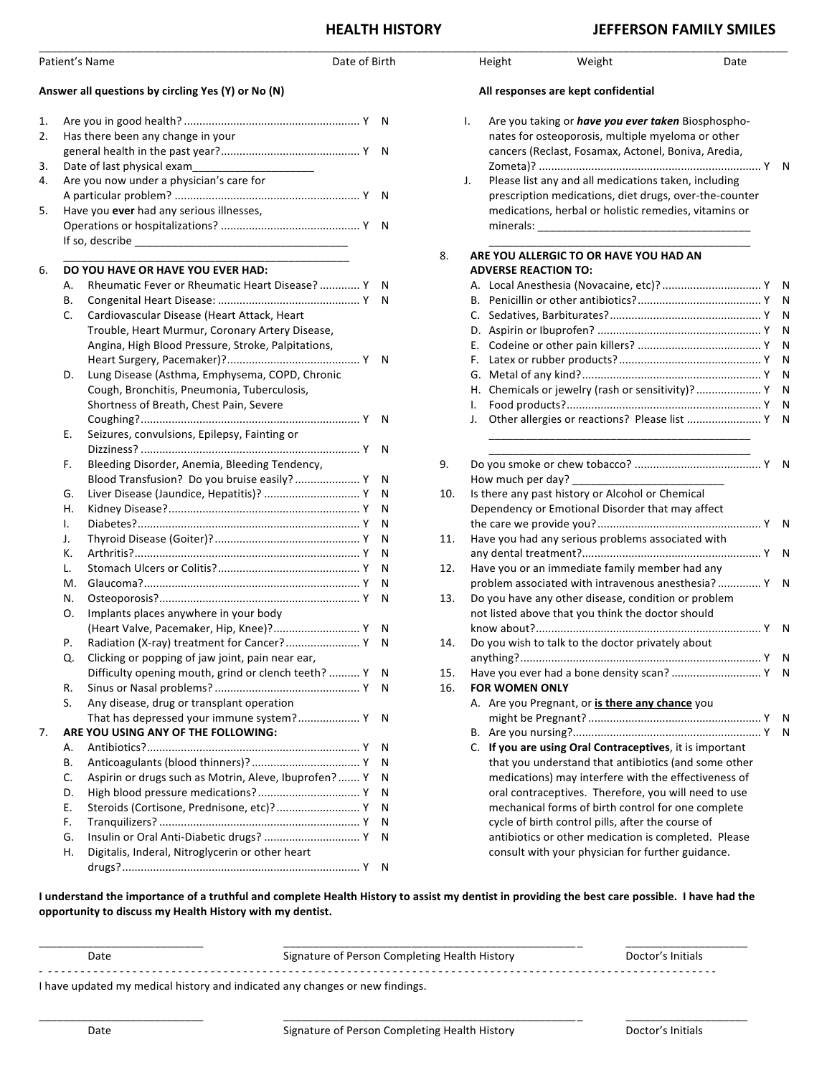## **HEALTH HISTORY** *JEFFERSON FAMILY SMILES*

| Patient's Name<br>Date of Birth                    |                                                                                                                                                          |                                                                                                                                                      |  | Height                              |                                                                                                                                                                                                                                                                                                                                                       | Weight                                                                                                                                                             | Date |  |
|----------------------------------------------------|----------------------------------------------------------------------------------------------------------------------------------------------------------|------------------------------------------------------------------------------------------------------------------------------------------------------|--|-------------------------------------|-------------------------------------------------------------------------------------------------------------------------------------------------------------------------------------------------------------------------------------------------------------------------------------------------------------------------------------------------------|--------------------------------------------------------------------------------------------------------------------------------------------------------------------|------|--|
| Answer all questions by circling Yes (Y) or No (N) |                                                                                                                                                          |                                                                                                                                                      |  | All responses are kept confidential |                                                                                                                                                                                                                                                                                                                                                       |                                                                                                                                                                    |      |  |
| 1.<br>2.<br>3.<br>4.<br>5.                         | Has there been any change in your<br>Date of last physical exam_<br>Are you now under a physician's care for<br>Have you ever had any serious illnesses, |                                                                                                                                                      |  |                                     | Are you taking or have you ever taken Biosphospho-<br>Ι.<br>nates for osteoporosis, multiple myeloma or other<br>cancers (Reclast, Fosamax, Actonel, Boniva, Aredia,<br>Please list any and all medications taken, including<br>J.<br>prescription medications, diet drugs, over-the-counter<br>medications, herbal or holistic remedies, vitamins or |                                                                                                                                                                    |      |  |
|                                                    |                                                                                                                                                          |                                                                                                                                                      |  |                                     |                                                                                                                                                                                                                                                                                                                                                       |                                                                                                                                                                    |      |  |
| 6.                                                 | Α.<br>В.                                                                                                                                                 | DO YOU HAVE OR HAVE YOU EVER HAD:<br>Rheumatic Fever or Rheumatic Heart Disease?  Y N                                                                |  | 8.                                  | <b>ADVERSE REACTION TO:</b>                                                                                                                                                                                                                                                                                                                           | ARE YOU ALLERGIC TO OR HAVE YOU HAD AN                                                                                                                             |      |  |
|                                                    | C.                                                                                                                                                       | Cardiovascular Disease (Heart Attack, Heart<br>Trouble, Heart Murmur, Coronary Artery Disease,<br>Angina, High Blood Pressure, Stroke, Palpitations, |  |                                     |                                                                                                                                                                                                                                                                                                                                                       |                                                                                                                                                                    |      |  |
|                                                    | D.                                                                                                                                                       | Lung Disease (Asthma, Emphysema, COPD, Chronic<br>Cough, Bronchitis, Pneumonia, Tuberculosis,<br>Shortness of Breath, Chest Pain, Severe             |  |                                     |                                                                                                                                                                                                                                                                                                                                                       | H. Chemicals or jewelry (rash or sensitivity)?  Y N<br>Other allergies or reactions? Please list  Y N                                                              |      |  |
|                                                    | Ε.                                                                                                                                                       | Seizures, convulsions, Epilepsy, Fainting or                                                                                                         |  |                                     |                                                                                                                                                                                                                                                                                                                                                       |                                                                                                                                                                    |      |  |
|                                                    | F.                                                                                                                                                       | Bleeding Disorder, Anemia, Bleeding Tendency,                                                                                                        |  | 9.                                  |                                                                                                                                                                                                                                                                                                                                                       |                                                                                                                                                                    |      |  |
|                                                    | G.<br>н.                                                                                                                                                 | Blood Transfusion? Do you bruise easily?  Y N<br>Liver Disease (Jaundice, Hepatitis)?  Y N                                                           |  | 10.                                 | How much per day? _                                                                                                                                                                                                                                                                                                                                   | Is there any past history or Alcohol or Chemical<br>Dependency or Emotional Disorder that may affect                                                               |      |  |
|                                                    | Ι.<br>J.<br>к.                                                                                                                                           |                                                                                                                                                      |  | 11.                                 |                                                                                                                                                                                                                                                                                                                                                       | Have you had any serious problems associated with                                                                                                                  |      |  |
|                                                    | L.<br>M.                                                                                                                                                 |                                                                                                                                                      |  | 12.                                 |                                                                                                                                                                                                                                                                                                                                                       | Have you or an immediate family member had any<br>problem associated with intravenous anesthesia? Y N                                                              |      |  |
|                                                    | N.<br>0.                                                                                                                                                 | Implants places anywhere in your body                                                                                                                |  | 13.                                 |                                                                                                                                                                                                                                                                                                                                                       | Do you have any other disease, condition or problem<br>not listed above that you think the doctor should                                                           |      |  |
|                                                    | Ρ.                                                                                                                                                       | (Heart Valve, Pacemaker, Hip, Knee)? Y N<br>Radiation (X-ray) treatment for Cancer? Y N                                                              |  | 14.                                 |                                                                                                                                                                                                                                                                                                                                                       | Do you wish to talk to the doctor privately about                                                                                                                  |      |  |
|                                                    | Q.                                                                                                                                                       | Clicking or popping of jaw joint, pain near ear,                                                                                                     |  |                                     |                                                                                                                                                                                                                                                                                                                                                       | Have you ever had a bone density scan?  Y N                                                                                                                        |      |  |
|                                                    | R.<br>S.                                                                                                                                                 | Difficulty opening mouth, grind or clench teeth?  Y N<br>Any disease, drug or transplant operation                                                   |  | 15.<br>16.                          | <b>FOR WOMEN ONLY</b>                                                                                                                                                                                                                                                                                                                                 | A. Are you Pregnant, or is there any chance you                                                                                                                    |      |  |
|                                                    |                                                                                                                                                          | That has depressed your immune system? Y N                                                                                                           |  |                                     |                                                                                                                                                                                                                                                                                                                                                       |                                                                                                                                                                    |      |  |
| 7.                                                 | А.<br>В.                                                                                                                                                 | ARE YOU USING ANY OF THE FOLLOWING:                                                                                                                  |  |                                     |                                                                                                                                                                                                                                                                                                                                                       | C. If you are using Oral Contraceptives, it is important<br>that you understand that antibiotics (and some other                                                   |      |  |
|                                                    | C.<br>D.<br>Ε.                                                                                                                                           | Aspirin or drugs such as Motrin, Aleve, Ibuprofen?  Y N<br>Steroids (Cortisone, Prednisone, etc)? Y N                                                |  |                                     |                                                                                                                                                                                                                                                                                                                                                       | medications) may interfere with the effectiveness of<br>oral contraceptives. Therefore, you will need to use<br>mechanical forms of birth control for one complete |      |  |
|                                                    | F.<br>G.<br>Η.                                                                                                                                           | Digitalis, Inderal, Nitroglycerin or other heart                                                                                                     |  |                                     |                                                                                                                                                                                                                                                                                                                                                       | cycle of birth control pills, after the course of<br>antibiotics or other medication is completed. Please<br>consult with your physician for further guidance.     |      |  |

I understand the importance of a truthful and complete Health History to assist my dentist in providing the best care possible. I have had the **opportunity to discuss my Health History with my dentist.** 

| Date                                                                         | Signature of Person Completing Health History | Doctor's Initials |  |  |  |  |
|------------------------------------------------------------------------------|-----------------------------------------------|-------------------|--|--|--|--|
| I have updated my medical history and indicated any changes or new findings. |                                               |                   |  |  |  |  |